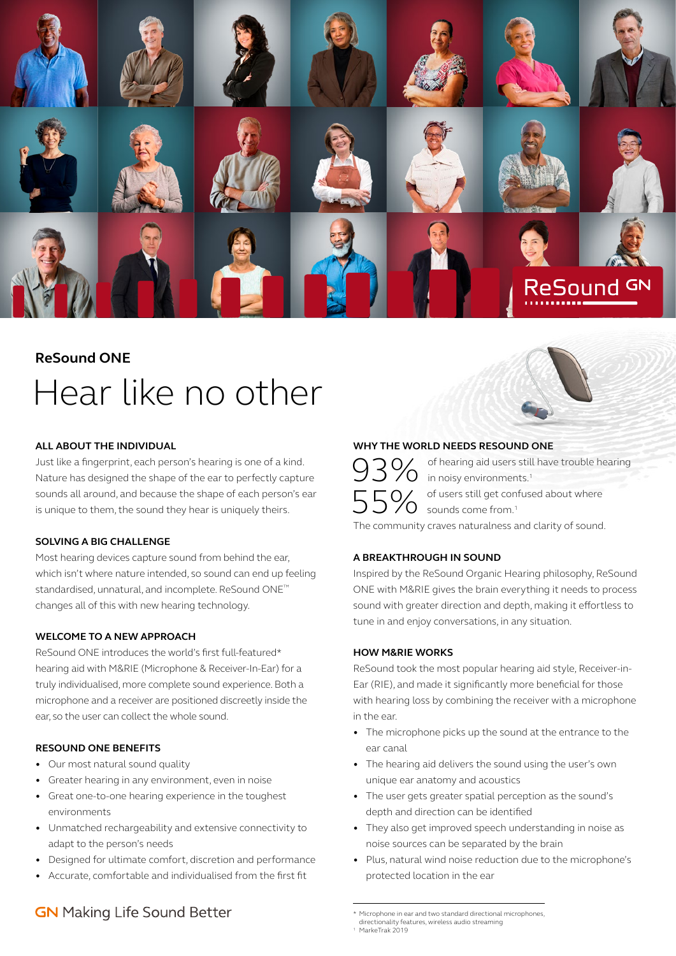

# **ReSound ONE** Hear like no other

#### **ALL ABOUT THE INDIVIDUAL**

Just like a fingerprint, each person's hearing is one of a kind. Nature has designed the shape of the ear to perfectly capture sounds all around, and because the shape of each person's ear is unique to them, the sound they hear is uniquely theirs.

#### **SOLVING A BIG CHALLENGE**

Most hearing devices capture sound from behind the ear, which isn't where nature intended, so sound can end up feeling standardised, unnatural, and incomplete. ReSound ONE™ changes all of this with new hearing technology.

#### **WELCOME TO A NEW APPROACH**

ReSound ONE introduces the world's first full-featured\* hearing aid with M&RIE (Microphone & Receiver-In-Ear) for a truly individualised, more complete sound experience. Both a microphone and a receiver are positioned discreetly inside the ear, so the user can collect the whole sound.

#### **RESOUND ONE BENEFITS**

- Our most natural sound quality
- Greater hearing in any environment, even in noise
- Great one-to-one hearing experience in the toughest environments
- Unmatched rechargeability and extensive connectivity to adapt to the person's needs
- Designed for ultimate comfort, discretion and performance
- Accurate, comfortable and individualised from the first fit

# **GN** Making Life Sound Better

### **WHY THE WORLD NEEDS RESOUND ONE**

3% of hearing aid users still have trouble hearing<br>5% in noisy environments.<sup>1</sup><br>5% of users still get confused about where in noisy environments.<sup>1</sup>  $\delta$  of users still get confused about where sounds come from.<sup>1</sup> The community craves naturalness and clarity of sound.

#### **A BREAKTHROUGH IN SOUND**

Inspired by the ReSound Organic Hearing philosophy, ReSound ONE with M&RIE gives the brain everything it needs to process sound with greater direction and depth, making it effortless to tune in and enjoy conversations, in any situation.

#### **HOW M&RIE WORKS**

ReSound took the most popular hearing aid style, Receiver-in-Ear (RIE), and made it significantly more beneficial for those with hearing loss by combining the receiver with a microphone in the ear.

- The microphone picks up the sound at the entrance to the ear canal
- The hearing aid delivers the sound using the user's own unique ear anatomy and acoustics
- The user gets greater spatial perception as the sound's depth and direction can be identified
- They also get improved speech understanding in noise as noise sources can be separated by the brain
- Plus, natural wind noise reduction due to the microphone's protected location in the ear

<sup>\*</sup> Microphone in ear and two standard directional microphones, directionality features, wireless audio streaming

MarkeTrak 2019